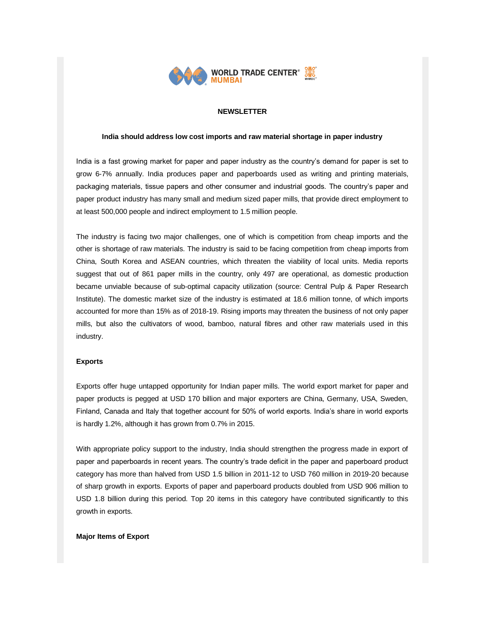

## **NEWSLETTER**

#### **India should address low cost imports and raw material shortage in paper industry**

India is a fast growing market for paper and paper industry as the country's demand for paper is set to grow 6-7% annually. India produces paper and paperboards used as writing and printing materials, packaging materials, tissue papers and other consumer and industrial goods. The country's paper and paper product industry has many small and medium sized paper mills, that provide direct employment to at least 500,000 people and indirect employment to 1.5 million people.

The industry is facing two major challenges, one of which is competition from cheap imports and the other is shortage of raw materials. The industry is said to be facing competition from cheap imports from China, South Korea and ASEAN countries, which threaten the viability of local units. Media reports suggest that out of 861 paper mills in the country, only 497 are operational, as domestic production became unviable because of sub-optimal capacity utilization (source: Central Pulp & Paper Research Institute). The domestic market size of the industry is estimated at 18.6 million tonne, of which imports accounted for more than 15% as of 2018-19. Rising imports may threaten the business of not only paper mills, but also the cultivators of wood, bamboo, natural fibres and other raw materials used in this industry.

#### **Exports**

Exports offer huge untapped opportunity for Indian paper mills. The world export market for paper and paper products is pegged at USD 170 billion and major exporters are China, Germany, USA, Sweden, Finland, Canada and Italy that together account for 50% of world exports. India's share in world exports is hardly 1.2%, although it has grown from 0.7% in 2015.

With appropriate policy support to the industry, India should strengthen the progress made in export of paper and paperboards in recent years. The country's trade deficit in the paper and paperboard product category has more than halved from USD 1.5 billion in 2011-12 to USD 760 million in 2019-20 because of sharp growth in exports. Exports of paper and paperboard products doubled from USD 906 million to USD 1.8 billion during this period. Top 20 items in this category have contributed significantly to this growth in exports.

#### **Major Items of Export**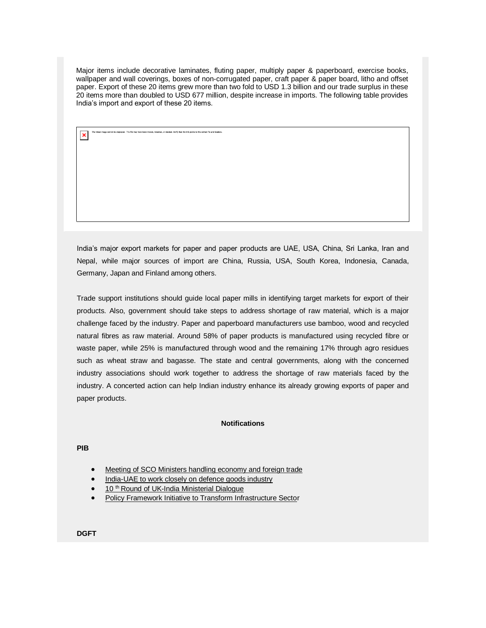Major items include decorative laminates, fluting paper, multiply paper & paperboard, exercise books, wallpaper and wall coverings, boxes of non-corrugated paper, craft paper & paper board, litho and offset paper. Export of these 20 items grew more than two fold to USD 1.3 billion and our trade surplus in these 20 items more than doubled to USD 677 million, despite increase in imports. The following table provides India's import and export of these 20 items.

India's major export markets for paper and paper products are UAE, USA, China, Sri Lanka, Iran and Nepal, while major sources of import are China, Russia, USA, South Korea, Indonesia, Canada, Germany, Japan and Finland among others.

Trade support institutions should guide local paper mills in identifying target markets for export of their products. Also, government should take steps to address shortage of raw material, which is a major challenge faced by the industry. Paper and paperboard manufacturers use bamboo, wood and recycled natural fibres as raw material. Around 58% of paper products is manufactured using recycled fibre or waste paper, while 25% is manufactured through wood and the remaining 17% through agro residues such as wheat straw and bagasse. The state and central governments, along with the concerned industry associations should work together to address the shortage of raw materials faced by the industry. A concerted action can help Indian industry enhance its already growing exports of paper and paper products.

### **Notifications**

**PIB**

- [Meeting of SCO Ministers handling economy and foreign trade](https://list.mg2.mlgnserv.com/track/click?u=3d39bef0aed2d0ed40e6a3dacf9bf882&id=3d27380e&e=02a4afc680e2b3e1)
- [India-UAE to work closely on defence goods industry](https://list.mg2.mlgnserv.com/track/click?u=3d39bef0aed2d0ed40e6a3dacf9bf882&id=8a3af90a&e=02a4afc680e2b3e1)
- 10<sup>th</sup> Round of UK-India Ministerial Dialogue
- [Policy Framework Initiative to Transform Infrastructure Sector](https://list.mg2.mlgnserv.com/track/click?u=3d39bef0aed2d0ed40e6a3dacf9bf882&id=e4017b03&e=02a4afc680e2b3e1)

**DGFT**